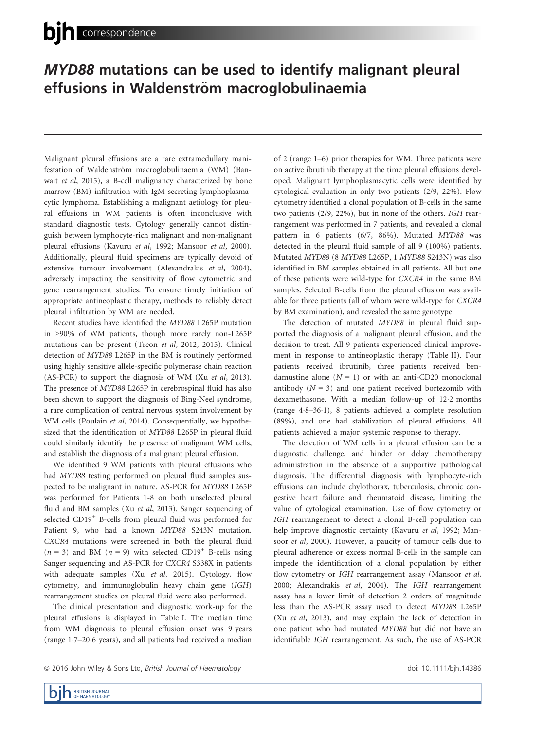## MYD88 mutations can be used to identify malignant pleural effusions in Waldenström macroglobulinaemia

Malignant pleural effusions are a rare extramedullary manifestation of Waldenström macroglobulinaemia (WM) (Banwait et al, 2015), a B-cell malignancy characterized by bone marrow (BM) infiltration with IgM-secreting lymphoplasmacytic lymphoma. Establishing a malignant aetiology for pleural effusions in WM patients is often inconclusive with standard diagnostic tests. Cytology generally cannot distinguish between lymphocyte-rich malignant and non-malignant pleural effusions (Kavuru et al, 1992; Mansoor et al, 2000). Additionally, pleural fluid specimens are typically devoid of extensive tumour involvement (Alexandrakis et al, 2004), adversely impacting the sensitivity of flow cytometric and gene rearrangement studies. To ensure timely initiation of appropriate antineoplastic therapy, methods to reliably detect pleural infiltration by WM are needed.

Recent studies have identified the MYD88 L265P mutation in >90% of WM patients, though more rarely non-L265P mutations can be present (Treon et al, 2012, 2015). Clinical detection of MYD88 L265P in the BM is routinely performed using highly sensitive allele-specific polymerase chain reaction (AS-PCR) to support the diagnosis of WM (Xu et al, 2013). The presence of MYD88 L265P in cerebrospinal fluid has also been shown to support the diagnosis of Bing-Neel syndrome, a rare complication of central nervous system involvement by WM cells (Poulain et al, 2014). Consequentially, we hypothesized that the identification of MYD88 L265P in pleural fluid could similarly identify the presence of malignant WM cells, and establish the diagnosis of a malignant pleural effusion.

We identified 9 WM patients with pleural effusions who had MYD88 testing performed on pleural fluid samples suspected to be malignant in nature. AS-PCR for MYD88 L265P was performed for Patients 1-8 on both unselected pleural fluid and BM samples (Xu et al, 2013). Sanger sequencing of selected CD19<sup>+</sup> B-cells from pleural fluid was performed for Patient 9, who had a known MYD88 S243N mutation. CXCR4 mutations were screened in both the pleural fluid  $(n = 3)$  and BM  $(n = 9)$  with selected CD19<sup>+</sup> B-cells using Sanger sequencing and AS-PCR for CXCR4 S338X in patients with adequate samples (Xu et al, 2015). Cytology, flow cytometry, and immunoglobulin heavy chain gene (IGH) rearrangement studies on pleural fluid were also performed.

The clinical presentation and diagnostic work-up for the pleural effusions is displayed in Table I. The median time from WM diagnosis to pleural effusion onset was 9 years (range 17–206 years), and all patients had received a median of 2 (range 1–6) prior therapies for WM. Three patients were on active ibrutinib therapy at the time pleural effusions developed. Malignant lymphoplasmacytic cells were identified by cytological evaluation in only two patients (2/9, 22%). Flow cytometry identified a clonal population of B-cells in the same two patients (2/9, 22%), but in none of the others. IGH rearrangement was performed in 7 patients, and revealed a clonal pattern in 6 patients (6/7, 86%). Mutated MYD88 was detected in the pleural fluid sample of all 9 (100%) patients. Mutated MYD88 (8 MYD88 L265P, 1 MYD88 S243N) was also identified in BM samples obtained in all patients. All but one of these patients were wild-type for CXCR4 in the same BM samples. Selected B-cells from the pleural effusion was available for three patients (all of whom were wild-type for CXCR4 by BM examination), and revealed the same genotype.

The detection of mutated MYD88 in pleural fluid supported the diagnosis of a malignant pleural effusion, and the decision to treat. All 9 patients experienced clinical improvement in response to antineoplastic therapy (Table II). Four patients received ibrutinib, three patients received bendamustine alone  $(N = 1)$  or with an anti-CD20 monoclonal antibody  $(N = 3)$  and one patient received bortezomib with dexamethasone. With a median follow-up of 122 months (range 48–361), 8 patients achieved a complete resolution (89%), and one had stabilization of pleural effusions. All patients achieved a major systemic response to therapy.

The detection of WM cells in a pleural effusion can be a diagnostic challenge, and hinder or delay chemotherapy administration in the absence of a supportive pathological diagnosis. The differential diagnosis with lymphocyte-rich effusions can include chylothorax, tuberculosis, chronic congestive heart failure and rheumatoid disease, limiting the value of cytological examination. Use of flow cytometry or IGH rearrangement to detect a clonal B-cell population can help improve diagnostic certainty (Kavuru et al, 1992; Mansoor et al, 2000). However, a paucity of tumour cells due to pleural adherence or excess normal B-cells in the sample can impede the identification of a clonal population by either flow cytometry or IGH rearrangement assay (Mansoor et al, 2000; Alexandrakis et al, 2004). The IGH rearrangement assay has a lower limit of detection 2 orders of magnitude less than the AS-PCR assay used to detect MYD88 L265P (Xu et al, 2013), and may explain the lack of detection in one patient who had mutated MYD88 but did not have an identifiable IGH rearrangement. As such, the use of AS-PCR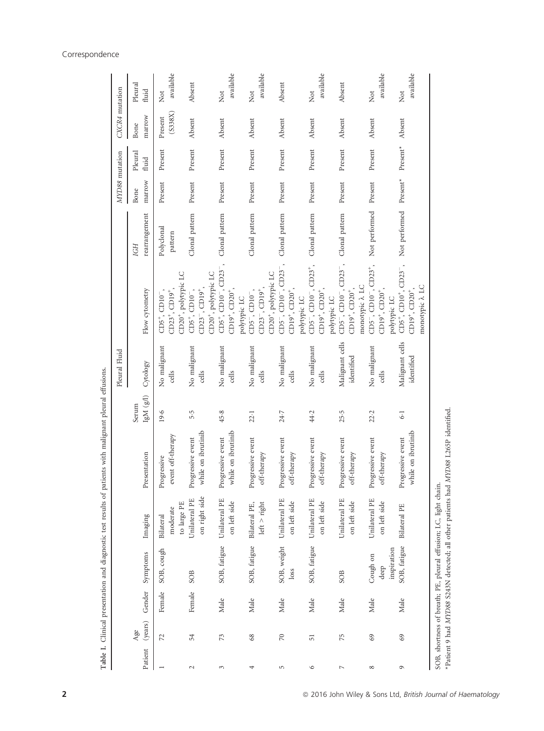|                          |                |        |                             |                                                                  | Table I. Clinical presentation and diagnostic test results of patients with malignant pleural effusions. |                            |                               |                                                                                                                             |                       |                                     |                  |                    |                  |
|--------------------------|----------------|--------|-----------------------------|------------------------------------------------------------------|----------------------------------------------------------------------------------------------------------|----------------------------|-------------------------------|-----------------------------------------------------------------------------------------------------------------------------|-----------------------|-------------------------------------|------------------|--------------------|------------------|
|                          |                |        |                             |                                                                  |                                                                                                          |                            | Pleural Fluid                 |                                                                                                                             |                       | MYD88 mutation                      |                  | CXCR4 mutation     |                  |
| Patient                  | (years)<br>Age | Gender | Symptoms                    | Imaging                                                          | Presentation                                                                                             | $\rm IgM$ $(g/l)$<br>Serum | Cytology                      | Flow cytometry                                                                                                              | rearrangement<br>IGH  | marrow<br>Bone                      | Pleural<br>fluid | marrow<br>Bone     | Pleural<br>fluid |
|                          | 72             | Female | SOB, cough                  | moderate<br>Bilateral                                            | event off-therapy<br>Progressive                                                                         | 19.6                       | No malignant<br>cells         | $CD23^+$ , $CD19^+$<br>$CD5^+$ , $CD10^-$ ,                                                                                 | Polyclonal<br>pattern | Present                             | Present          | (S338X)<br>Present | available<br>Not |
| $\sim$                   | 54             | Female | SOB                         | on right side<br>Unilateral PE<br>to large PE                    | while on ibrutinib<br>Progressive event                                                                  | 5.5                        | No malignant<br>cells         | CD20 <sup>+</sup> , polytypic LC<br>$CD23^{-}$ , $CD19^{+}$ ,<br>$CD5^{+}$ , $CD10^{-}$ ,                                   | Clonal pattern        | Present                             | Present          | Absent             | Absent           |
| 3                        | 73             | Male   | SOB, fatigue                | Unilateral PE<br>on left side                                    | while on ibrutinib<br>Progressive event                                                                  | 45.8                       | No malignant<br>cells         | CD5+, CD10 <sup>-</sup> , CD23 <sup>-</sup> ,<br>CD20 <sup>+</sup> , polytypic LC<br>$CD19^+$ , $CD20^+$ ,                  | Clonal pattern        | Present                             | Present          | Absent             | available<br>Not |
| 4                        | 68             | Male   | SOB, fatigue                | left > right<br>Bilateral PE,                                    | Progressive event<br>off-therapy                                                                         | 22.1                       | No malignant<br>cells         | $CD23^{-}$ , $CD19^{+}$ ,<br>$CD5^{-}$ , $CD10^{-}$ ,<br>polytypic LC                                                       | Clonal pattern        | Present                             | Present          | Absent             | available<br>Not |
| S                        | $\gtrsim$      | Male   | SOB, weight<br>loss         | Unilateral PE<br>on left side                                    | Progressive event<br>off-therapy                                                                         | 24.7                       | No malignant<br>cells         | CD5 <sup>-</sup> , CD10 <sup>-</sup> , CD23 <sup>-</sup> ,<br>CD20 <sup>+</sup> , polytypic LC<br>$CD19^{+}$ , $CD20^{+}$ , | Clonal pattern        | Present                             | Present          | Absent             | Absent           |
| $\circ$                  | 51             | Male   | SOB, fatigue                | Unilateral PE<br>on left side                                    | Progressive event<br>off-therapy                                                                         | 44.2                       | No malignant<br>cells         | $CD5^{-}$ , $CD10^{-}$ , $CD23^{+}$ ,<br>$CD19^+$ , $CD20^+$ ,<br>polytypic LC                                              | Clonal pattern        | Present                             | Present          | Absent             | available<br>Not |
| $\overline{\phantom{a}}$ | 75             | Male   | SOB                         | Unilateral PE<br>on left side                                    | Progressive event<br>off-therapy                                                                         | 25.5                       | Malignant cells<br>identified | CD5 <sup>-</sup> , CD10 <sup>-</sup> , CD23 <sup>-</sup> ,<br>$CD19^+$ , $CD20^+$ ,<br>polytypic LC                         | Clonal pattern        | Present                             | Present          | Absent             | Absent           |
| ${}^{\circ}$             | 69             | Male   | Cough on<br>deep            | Unilateral PE<br>on left side                                    | Progressive event<br>off-therapy                                                                         | 22.2                       | No malignant<br>cells         | $CD5^{-}$ , $CD10^{-}$ , $CD23^{+}$ ,<br>monotypic $\lambda$ LC<br>$CD19^+$ , $CD20^+$ ,                                    | Not performed         | Present                             | Present          | Absent             | available<br>Not |
| $\circ$                  | 69             | Male   | SOB, fatigue<br>inspiration | Bilateral PE                                                     | while on ibrutinib<br>Progressive event                                                                  | $\overline{6}$             | Malignant cells<br>identified | $CD5^+$ , $CD10^+$ , $CD23^-$ ,<br>monotypic $\lambda$ LC<br>$CD19^+$ , $CD20^+$<br>polytypic LC                            | Not performed         | $\ensuremath{\text{Present}}^\star$ | $Present*$       | Absent             | available<br>Not |
|                          |                |        |                             | SOB, shortness of breath; PE, pleural effusion; LC, light chain. | *Patient 9 had MYD88 S243N detected; all other patients had MYD88 L265P identified                       |                            |                               |                                                                                                                             |                       |                                     |                  |                    |                  |

## Correspondence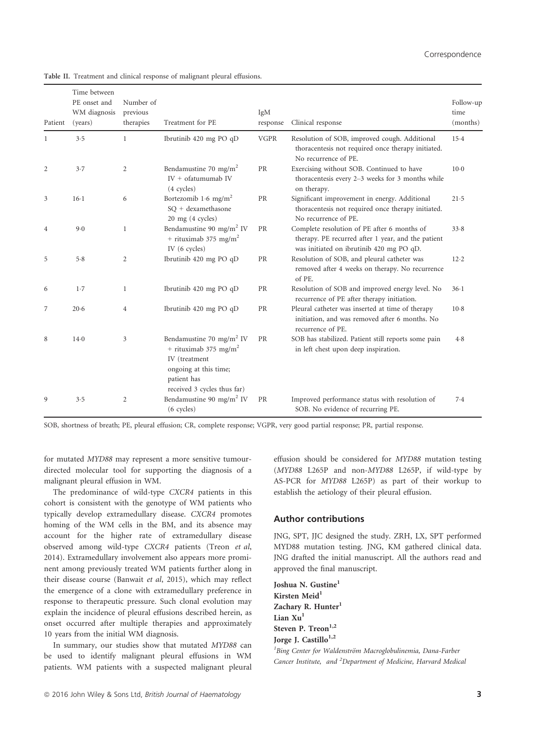| Patient        | Time between<br>PE onset and<br>WM diagnosis<br>(years) | Number of<br>previous<br>therapies | Treatment for PE                                                                                                                                                  | IgM<br>response | Clinical response                                                                                                                             | Follow-up<br>time<br>(months) |
|----------------|---------------------------------------------------------|------------------------------------|-------------------------------------------------------------------------------------------------------------------------------------------------------------------|-----------------|-----------------------------------------------------------------------------------------------------------------------------------------------|-------------------------------|
| 1              | 3.5                                                     | $\mathbf{1}$                       | Ibrutinib 420 mg PO qD                                                                                                                                            | <b>VGPR</b>     | Resolution of SOB, improved cough. Additional<br>thoracentesis not required once therapy initiated.<br>No recurrence of PE.                   | $15-4$                        |
| 2              | 3.7                                                     | $\overline{2}$                     | Bendamustine 70 mg/m <sup>2</sup><br>$IV + of atumumab IV$<br>(4 cycles)                                                                                          | <b>PR</b>       | Exercising without SOB. Continued to have<br>thoracentesis every 2-3 weeks for 3 months while<br>on therapy.                                  | $10-0$                        |
| 3              | $16-1$                                                  | 6                                  | Bortezomib 1.6 mg/m <sup>2</sup><br>SO + dexamethasone<br>20 mg (4 cycles)                                                                                        | PR              | Significant improvement in energy. Additional<br>thoracentesis not required once therapy initiated.<br>No recurrence of PE.                   | 21.5                          |
| $\overline{4}$ | 9.0                                                     | 1                                  | Bendamustine 90 mg/m <sup>2</sup> IV<br>+ rituximab 375 mg/m <sup>2</sup><br>IV (6 cycles)                                                                        | PR              | Complete resolution of PE after 6 months of<br>therapy. PE recurred after 1 year, and the patient<br>was initiated on ibrutinib 420 mg PO qD. | 33.8                          |
| 5              | 5.8                                                     | 2                                  | Ibrutinib 420 mg PO qD                                                                                                                                            | PR              | Resolution of SOB, and pleural catheter was<br>removed after 4 weeks on therapy. No recurrence<br>of PE.                                      | 12.2                          |
| 6              | 1.7                                                     | 1                                  | Ibrutinib 420 mg PO qD                                                                                                                                            | PR              | Resolution of SOB and improved energy level. No<br>recurrence of PE after therapy initiation.                                                 | $36-1$                        |
| 7              | 20.6                                                    | $\overline{4}$                     | Ibrutinib 420 mg PO qD                                                                                                                                            | PR              | Pleural catheter was inserted at time of therapy<br>initiation, and was removed after 6 months. No<br>recurrence of PE.                       | $10-8$                        |
| 8              | $14-0$                                                  | 3                                  | Bendamustine 70 mg/m <sup>2</sup> IV<br>+ rituximab 375 mg/m <sup>2</sup><br>IV (treatment<br>ongoing at this time;<br>patient has<br>received 3 cycles thus far) | PR              | SOB has stabilized. Patient still reports some pain<br>in left chest upon deep inspiration.                                                   | 4.8                           |
| 9              | 3.5                                                     | 2                                  | Bendamustine 90 mg/m <sup>2</sup> IV<br>$(6$ cycles)                                                                                                              | PR              | Improved performance status with resolution of<br>SOB. No evidence of recurring PE.                                                           | 7.4                           |

Table II. Treatment and clinical response of malignant pleural effusions.

SOB, shortness of breath; PE, pleural effusion; CR, complete response; VGPR, very good partial response; PR, partial response.

for mutated MYD88 may represent a more sensitive tumourdirected molecular tool for supporting the diagnosis of a malignant pleural effusion in WM.

The predominance of wild-type CXCR4 patients in this cohort is consistent with the genotype of WM patients who typically develop extramedullary disease. CXCR4 promotes homing of the WM cells in the BM, and its absence may account for the higher rate of extramedullary disease observed among wild-type CXCR4 patients (Treon et al, 2014). Extramedullary involvement also appears more prominent among previously treated WM patients further along in their disease course (Banwait et al, 2015), which may reflect the emergence of a clone with extramedullary preference in response to therapeutic pressure. Such clonal evolution may explain the incidence of pleural effusions described herein, as onset occurred after multiple therapies and approximately 10 years from the initial WM diagnosis.

In summary, our studies show that mutated MYD88 can be used to identify malignant pleural effusions in WM patients. WM patients with a suspected malignant pleural effusion should be considered for MYD88 mutation testing (MYD88 L265P and non-MYD88 L265P, if wild-type by AS-PCR for MYD88 L265P) as part of their workup to establish the aetiology of their pleural effusion.

## Author contributions

JNG, SPT, JJC designed the study. ZRH, LX, SPT performed MYD88 mutation testing. JNG, KM gathered clinical data. JNG drafted the initial manuscript. All the authors read and approved the final manuscript.

Joshua N. Gustine<sup>1</sup> Kirsten Meid<sup>1</sup> Zachary R. Hunter<sup>1</sup> Lian  $Xu<sup>1</sup>$ Steven P. Treon<sup>1,2</sup> Jorge J. Castillo<sup>1,2</sup>

<sup>1</sup>Bing Center for Waldenström Macroglobulinemia, Dana-Farber Cancer Institute, and <sup>2</sup>Department of Medicine, Harvard Medical